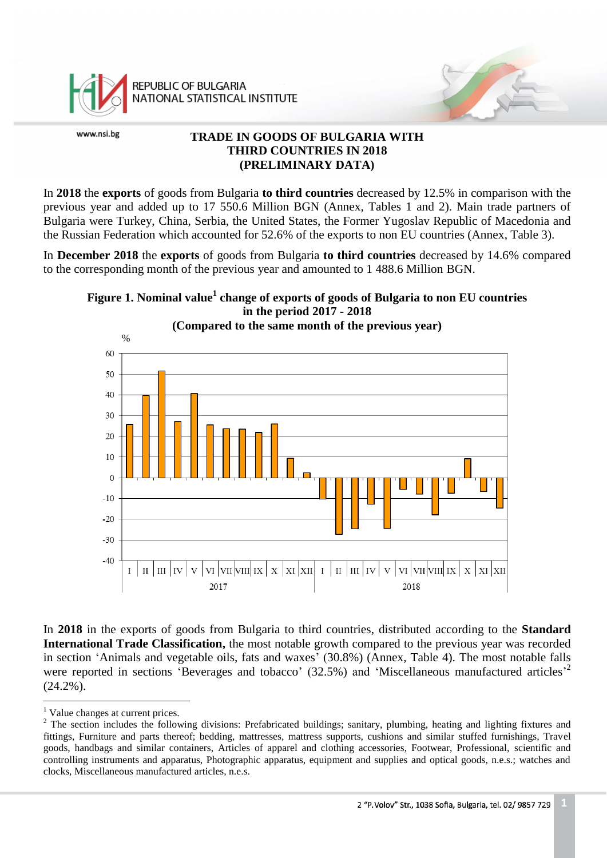

REPUBLIC OF BULGARIA NATIONAL STATISTICAL INSTITUTE

www.nsi.bg

# **TRADE IN GOODS OF BULGARIA WITH THIRD COUNTRIES IN 2018 (PRELIMINARY DATA)**

In **2018** the **exports** of goods from Bulgaria **to third countries** decreased by 12.5% in comparison with the previous year and added up to 17 550.6 Million BGN (Annex, Tables 1 and 2). Main trade partners of Bulgaria were Turkey, China, Serbia, the United States, the Former Yugoslav Republic of Macedonia and the Russian Federation which accounted for 52.6% of the exports to non EU countries (Annex, Table 3).

In **December 2018** the **exports** of goods from Bulgaria **to third countries** decreased by 14.6% compared to the corresponding month of the previous year and amounted to 1 488.6 Million BGN.

# **Figure 1. Nominal value<sup>1</sup> change of exports of goods of Bulgaria to non EU countries in the period 2017 - 2018**



**(Compared to the same month of the previous year)**

In **2018** in the exports of goods from Bulgaria to third countries, distributed according to the **Standard International Trade Classification,** the most notable growth compared to the previous year was recorded in section 'Animals and vegetable oils, fats and waxes' (30.8%) (Annex, Table 4). Тhe most notable falls were reported in sections Beverages and tobacco' (32.5%) and 'Miscellaneous manufactured articles<sup>2</sup> (24.2%).

 $\overline{a}$ <sup>1</sup> Value changes at current prices.

<sup>&</sup>lt;sup>2</sup> The section includes the following divisions: Prefabricated buildings; sanitary, plumbing, heating and lighting fixtures and fittings, Furniture and parts thereof; bedding, mattresses, mattress supports, cushions and similar stuffed furnishings, Travel goods, handbags and similar containers, Articles of apparel and clothing accessories, Footwear, Professional, scientific and controlling instruments and apparatus, Photographic apparatus, equipment and supplies and optical goods, n.e.s.; watches and clocks, Miscellaneous manufactured articles, n.e.s.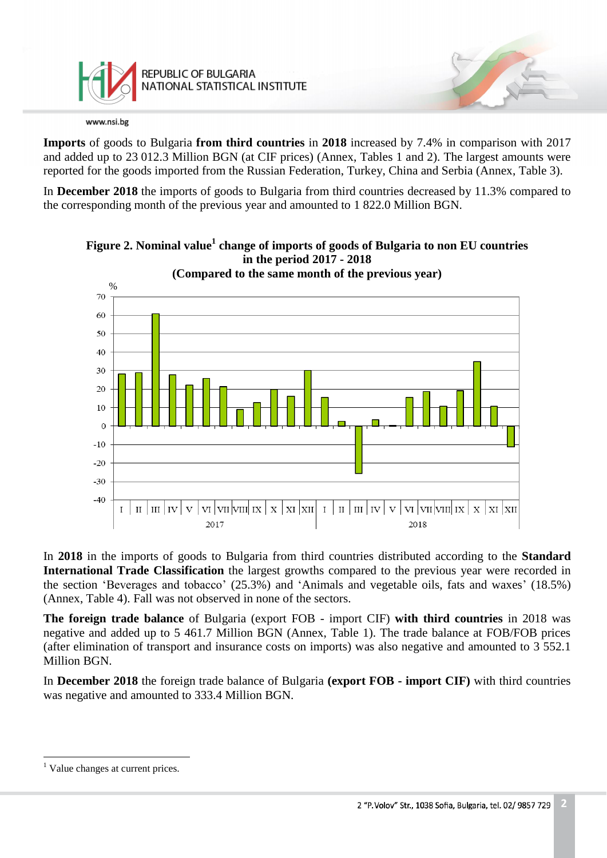

**Imports** of goods to Bulgaria **from third countries** in **2018** increased by 7.4% in comparison with 2017 and added up to 23 012.3 Million BGN (at CIF prices) (Annex, Tables 1 and 2). The largest amounts were reported for the goods imported from the Russian Federation, Turkey, China and Serbia (Annex, Table 3).

In **December 2018** the imports of goods to Bulgaria from third countries decreased by 11.3% compared to the corresponding month of the previous year and amounted to 1 822.0 Million BGN.



**Figure 2. Nominal value<sup>1</sup> change of imports of goods of Bulgaria to non EU countries in the period 2017 - 2018**

In **2018** in the imports of goods to Bulgaria from third countries distributed according to the **Standard International Trade Classification** the largest growths compared to the previous year were recorded in the section 'Beverages and tobacco' (25.3%) and 'Animals and vegetable oils, fats and waxes' (18.5%) (Annex, Table 4). Fall was not observed in none of the sectors.

**The foreign trade balance** of Bulgaria (export FOB - import CIF) **with third countries** in 2018 was negative and added up to 5 461.7 Million BGN (Annex, Table 1). The trade balance at FOB/FOB prices (after elimination of transport and insurance costs on imports) was also negative and amounted to 3 552.1 Million BGN.

In **December 2018** the foreign trade balance of Bulgaria **(export FOB - import CIF)** with third countries was negative and amounted to 333.4 Million BGN.

 $\overline{a}$ <sup>1</sup> Value changes at current prices.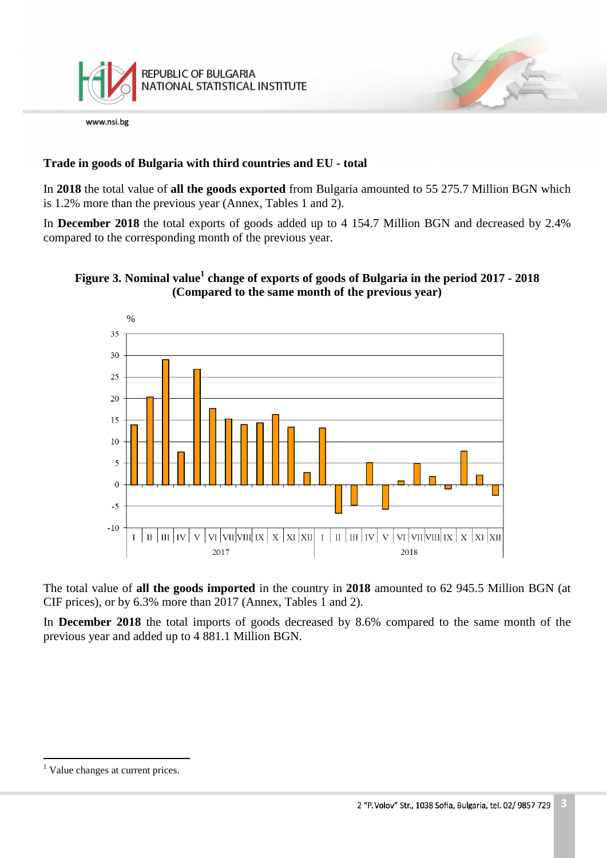

# **Trade in goods of Bulgaria with third countries and EU - total**

In **2018** the total value of **all the goods exported** from Bulgaria amounted to 55 275.7 Million BGN which is 1.2% more than the previous year (Annex, Tables 1 and 2).

In **December 2018** the total exports of goods added up to 4 154.7 Million BGN and decreased by 2.4% compared to the corresponding month of the previous year.

# **Figure 3. Nominal value<sup>1</sup> change of exports of goods of Bulgaria in the period 2017 - 2018 (Compared to the same month of the previous year)**



The total value of **all the goods imported** in the country in **2018** amounted to 62 945.5 Million BGN (at CIF prices), or by 6.3% more than 2017 (Annex, Tables 1 and 2).

In **December 2018** the total imports of goods decreased by 8.6% compared to the same month of the previous year and added up to 4 881.1 Million BGN.

 $\overline{a}$ 

<sup>&</sup>lt;sup>1</sup> Value changes at current prices.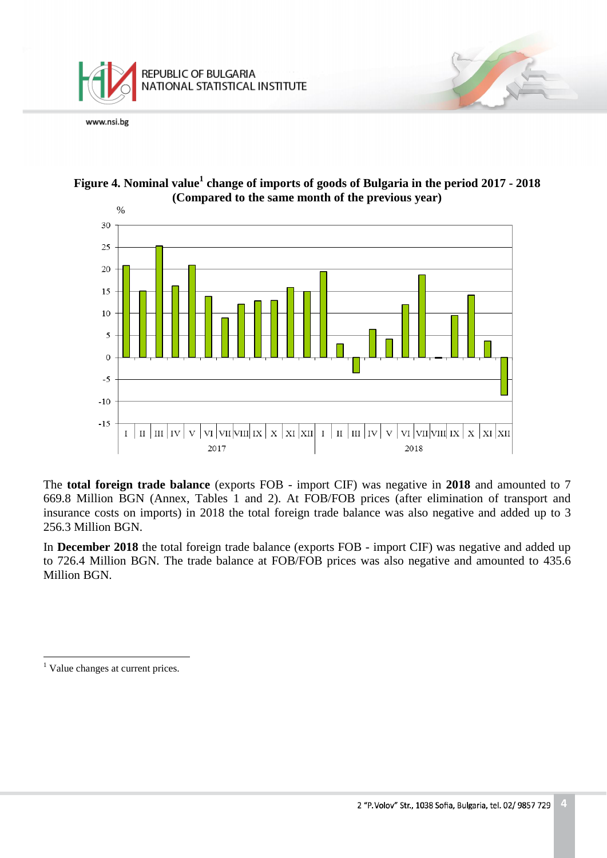





The **total foreign trade balance** (exports FOB - import CIF) was negative in **2018** and amounted to 7 669.8 Million BGN (Annex, Tables 1 and 2). At FOB/FOB prices (after elimination of transport and insurance costs on imports) in 2018 the total foreign trade balance was also negative and added up to 3 256.3 Million BGN.

In **December 2018** the total foreign trade balance (exports FOB - import CIF) was negative and added up to 726.4 Million BGN. The trade balance at FOB/FOB prices was also negative and amounted to 435.6 Million BGN.

 $\overline{a}$ 

 $<sup>1</sup>$  Value changes at current prices.</sup>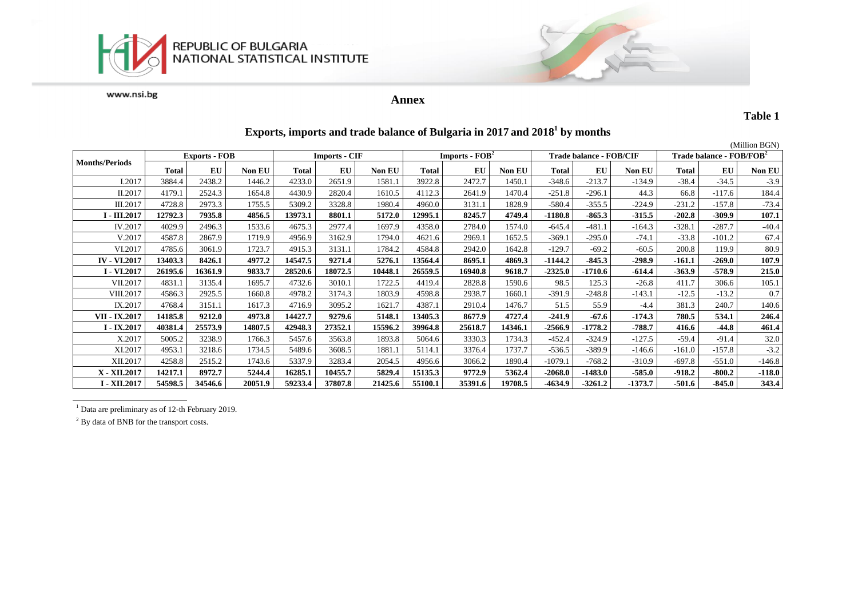



## **Annex**

#### **Table 1**

|                       |                      |         |               |                      |         |         |                                    |         |         |                         |           |           |                                      |          | (Million BGN) |
|-----------------------|----------------------|---------|---------------|----------------------|---------|---------|------------------------------------|---------|---------|-------------------------|-----------|-----------|--------------------------------------|----------|---------------|
|                       | <b>Exports - FOB</b> |         |               | <b>Imports - CIF</b> |         |         | <b>Imports - <math>FOB2</math></b> |         |         | Trade balance - FOB/CIF |           |           | Trade balance - FOB/FOB <sup>2</sup> |          |               |
| <b>Months/Periods</b> | <b>Total</b>         | EU      | <b>Non EU</b> | <b>Total</b>         | EU      | Non EU  | Total                              | EU      | Non EU  | <b>Total</b>            | EU        | Non EU    | Total                                | EU       | <b>Non EU</b> |
| I.2017                | 3884.4               | 2438.2  | 1446.2        | 4233.0               | 2651.9  | 1581.1  | 3922.8                             | 2472.7  | 1450.1  | $-348.6$                | $-213.7$  | $-134.9$  | $-38.4$                              | $-34.5$  | $-3.9$        |
| II.2017               | 4179.1               | 2524.3  | 1654.8        | 4430.9               | 2820.4  | 1610.5  | 4112.3                             | 2641.9  | 1470.4  | $-251.8$                | $-296.1$  | 44.3      | 66.8                                 | $-117.6$ | 184.4         |
| III.2017              | 4728.8               | 2973.3  | 1755.5        | 5309.2               | 3328.8  | 1980.4  | 4960.0                             | 3131.1  | 1828.9  | $-580.4$                | $-355.5$  | $-224.9$  | $-231.2$                             | $-157.8$ | $-73.4$       |
| I - III.2017          | 12792.3              | 7935.8  | 4856.5        | 13973.1              | 8801.1  | 5172.0  | 12995.1                            | 8245.7  | 4749.4  | $-1180.8$               | $-865.3$  | $-315.5$  | $-202.8$                             | $-309.9$ | 107.1         |
| IV.2017               | 4029.9               | 2496.3  | 1533.6        | 4675.3               | 2977.4  | 1697.9  | 4358.0                             | 2784.0  | 1574.0  | $-645.4$                | $-481.1$  | $-164.3$  | $-328.1$                             | $-287.7$ | $-40.4$       |
| V.2017                | 4587.8               | 2867.9  | 1719.9        | 4956.9               | 3162.9  | 1794.0  | 4621.6                             | 2969.1  | 1652.5  | $-369.1$                | $-295.0$  | $-74.1$   | $-33.8$                              | $-101.2$ | 67.4          |
| VI.2017               | 4785.6               | 3061.9  | 1723.7        | 4915.3               | 3131.1  | 1784.2  | 4584.8                             | 2942.0  | 1642.8  | $-129.7$                | $-69.2$   | $-60.5$   | 200.8                                | 119.9    | 80.9          |
| <b>IV - VI.2017</b>   | 13403.3              | 8426.1  | 4977.2        | 14547.5              | 9271.4  | 5276.1  | 13564.4                            | 8695.1  | 4869.3  | $-1144.2$               | $-845.3$  | $-298.9$  | $-161.1$                             | $-269.0$ | 107.9         |
| <b>I</b> - VI.2017    | 26195.6              | 16361.9 | 9833.7        | 28520.6              | 18072.5 | 10448.1 | 26559.5                            | 16940.8 | 9618.7  | $-2325.0$               | $-1710.6$ | -614.4    | -363.9                               | $-578.9$ | 215.0         |
| VII.2017              | 4831.1               | 3135.4  | 1695.7        | 4732.6               | 3010.1  | 1722.5  | 4419.4                             | 2828.8  | 1590.6  | 98.5                    | 125.3     | $-26.8$   | 411.7                                | 306.6    | 105.1         |
| VIII.2017             | 4586.3               | 2925.5  | 1660.8        | 4978.2               | 3174.3  | 1803.9  | 4598.8                             | 2938.7  | 1660.1  | $-391.9$                | $-248.8$  | $-143.1$  | $-12.5$                              | $-13.2$  | 0.7           |
| IX.2017               | 4768.4               | 3151.1  | 1617.3        | 4716.9               | 3095.2  | 1621.7  | 4387.1                             | 2910.4  | 1476.7  | 51.5                    | 55.9      | $-4.4$    | 381.3                                | 240.7    | 140.6         |
| VII - IX.2017         | 14185.8              | 9212.0  | 4973.8        | 14427.7              | 9279.6  | 5148.1  | 13405.3                            | 8677.9  | 4727.4  | $-241.9$                | $-67.6$   | $-174.3$  | 780.5                                | 534.1    | 246.4         |
| $I - IX.2017$         | 40381.4              | 25573.9 | 14807.5       | 42948.3              | 27352.1 | 15596.2 | 39964.8                            | 25618.7 | 14346.1 | $-2566.9$               | $-1778.2$ | $-788.7$  | 416.6                                | $-44.8$  | 461.4         |
| X.2017                | 5005.2               | 3238.9  | 1766.3        | 5457.6               | 3563.8  | 1893.8  | 5064.6                             | 3330.3  | 1734.3  | $-452.4$                | $-324.9$  | $-127.5$  | $-59.4$                              | $-91.4$  | 32.0          |
| XI.2017               | 4953.1               | 3218.6  | 1734.5        | 5489.6               | 3608.5  | 1881    | 5114.1                             | 3376.4  | 1737.7  | $-536.5$                | $-389.9$  | $-146.6$  | $-161.0$                             | $-157.8$ | $-3.2$        |
| XII.2017              | 4258.8               | 2515.2  | 1743.6        | 5337.9               | 3283.4  | 2054.5  | 4956.6                             | 3066.2  | 1890.4  | $-1079.1$               | $-768.2$  | $-310.9$  | $-697.8$                             | $-551.0$ | $-146.8$      |
| X - XII.2017          | 14217.1              | 8972.7  | 5244.4        | 16285.1              | 10455.7 | 5829.4  | 15135.3                            | 9772.9  | 5362.4  | $-2068.0$               | $-1483.0$ | $-585.0$  | $-918.2$                             | $-800.2$ | $-118.0$      |
| <b>I - XII.2017</b>   | 54598.5              | 34546.6 | 20051.9       | 59233.4              | 37807.8 | 21425.6 | 55100.1                            | 35391.6 | 19708.5 | $-4634.9$               | $-3261.2$ | $-1373.7$ | -501.6                               | $-845.0$ | 343.4         |

## **Exports, imports and trade balance of Bulgaria in 2017 and 2018<sup>1</sup> by months**

<sup>1</sup> Data are preliminary as of 12-th February 2019.

<sup>2</sup> By data of BNB for the transport costs.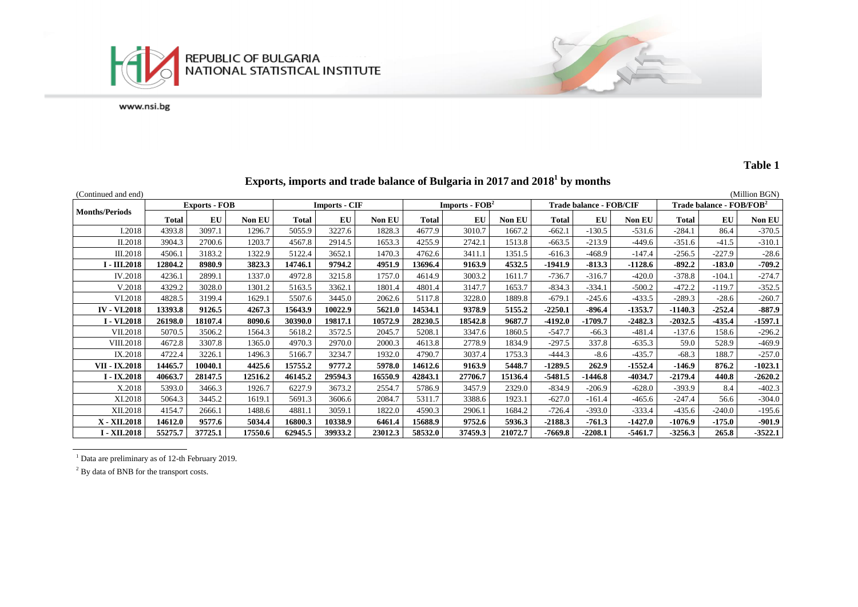



**Exports, imports and trade balance of Bulgaria in 2017 and 2018<sup>1</sup> by months**

| (Continued and end)        |                      |         |               |         |                      |               |         |                                    |               |                         |           |               |              |                                      | (Million BGN) |
|----------------------------|----------------------|---------|---------------|---------|----------------------|---------------|---------|------------------------------------|---------------|-------------------------|-----------|---------------|--------------|--------------------------------------|---------------|
| <b>Months/Periods</b>      | <b>Exports - FOB</b> |         |               |         | <b>Imports - CIF</b> |               |         | <b>Imports - <math>FOB2</math></b> |               | Trade balance - FOB/CIF |           |               |              | Trade balance - FOB/FOB <sup>2</sup> |               |
|                            | Total                | EU      | <b>Non EU</b> | Total   | EU                   | <b>Non EU</b> | Total   | EU                                 | <b>Non EU</b> | Total                   | EU        | <b>Non EU</b> | <b>Total</b> | EU                                   | Non EU        |
| I.2018                     | 4393.8               | 3097.1  | 1296.7        | 5055.9  | 3227.6               | 1828.3        | 4677.9  | 3010.7                             | 1667.2        | $-662.1$                | $-130.5$  | $-531.6$      | $-284.1$     | 86.4                                 | $-370.5$      |
| II.2018                    | 3904.3               | 2700.6  | 1203.7        | 4567.8  | 2914.5               | 1653.3        | 4255.9  | 2742.1                             | 1513.8        | $-663.5$                | $-213.9$  | $-449.6$      | $-351.6$     | $-41.5$                              | $-310.1$      |
| III.2018                   | 4506.1               | 3183.2  | 1322.9        | 5122.4  | 3652.1               | 1470.3        | 4762.6  | 3411.1                             | 1351.5        | $-616.3$                | $-468.9$  | $-147.4$      | $-256.5$     | $-227.9$                             | $-28.6$       |
| <b>I</b> - <b>III.2018</b> | 12804.2              | 8980.9  | 3823.3        | 14746.1 | 9794.2               | 4951.9        | 13696.4 | 9163.9                             | 4532.5        | $-1941.9$               | $-813.3$  | $-1128.6$     | $-892.2$     | $-183.0$                             | $-709.2$      |
| IV.2018                    | 4236.1               | 2899.1  | 1337.0        | 4972.8  | 3215.8               | 1757.0        | 4614.9  | 3003.2                             | 1611.7        | $-736.7$                | $-316.7$  | $-420.0$      | $-378.8$     | $-104.1$                             | $-274.7$      |
| V.2018                     | 4329.2               | 3028.0  | 1301.2        | 5163.5  | 3362.1               | 1801.4        | 4801.4  | 3147.7                             | 1653.7        | $-834.3$                | $-334.1$  | $-500.2$      | $-472.2$     | $-119.7$                             | $-352.5$      |
| VI.2018                    | 4828.5               | 3199.4  | 1629.1        | 5507.6  | 3445.0               | 2062.6        | 5117.8  | 3228.0                             | 1889.8        | $-679.1$                | $-245.6$  | $-433.5$      | $-289.3$     | $-28.6$                              | $-260.7$      |
| <b>IV - VI.2018</b>        | 13393.8              | 9126.5  | 4267.3        | 15643.9 | 10022.9              | 5621.0        | 14534.1 | 9378.9                             | 5155.2        | $-2250.1$               | $-896.4$  | $-1353.7$     | $-1140.3$    | $-252.4$                             | $-887.9$      |
| I - VI.2018                | 26198.0              | 18107.4 | 8090.6        | 30390.0 | 19817.1              | 10572.9       | 28230.5 | 18542.8                            | 9687.7        | $-4192.0$               | $-1709.7$ | $-2482.3$     | $-2032.5$    | $-435.4$                             | $-1597.1$     |
| VII.2018                   | 5070.5               | 3506.2  | 1564.3        | 5618.2  | 3572.5               | 2045.7        | 5208.1  | 3347.6                             | 1860.5        | $-547.7$                | $-66.3$   | $-481.4$      | $-137.6$     | 158.6                                | $-296.2$      |
| <b>VIII.2018</b>           | 4672.8               | 3307.8  | 1365.0        | 4970.3  | 2970.0               | 2000.3        | 4613.8  | 2778.9                             | 1834.9        | $-297.5$                | 337.8     | $-635.3$      | 59.0         | 528.9                                | $-469.9$      |
| IX.2018                    | 4722.4               | 3226.1  | 1496.3        | 5166.7  | 3234.7               | 1932.0        | 4790.7  | 3037.4                             | 1753.3        | $-444.3$                | $-8.6$    | $-435.7$      | $-68.3$      | 188.7                                | $-257.0$      |
| VII - IX.2018              | 14465.7              | 10040.1 | 4425.6        | 15755.2 | 9777.2               | 5978.0        | 14612.6 | 9163.9                             | 5448.7        | $-1289.5$               | 262.9     | $-1552.4$     | $-146.9$     | 876.2                                | $-1023.1$     |
| $I - IX.2018$              | 40663.7              | 28147.5 | 12516.2       | 46145.2 | 29594.3              | 16550.9       | 42843.1 | 27706.7                            | 15136.4       | $-5481.5$               | $-1446.8$ | $-4034.7$     | $-2179.4$    | 440.8                                | $-2620.2$     |
| X.2018                     | 5393.0               | 3466.3  | 1926.7        | 6227.9  | 3673.2               | 2554.7        | 5786.9  | 3457.9                             | 2329.0        | $-834.9$                | $-206.9$  | $-628.0$      | $-393.9$     | 8.4                                  | $-402.3$      |
| XI.2018                    | 5064.3               | 3445.2  | 1619.1        | 5691.3  | 3606.6               | 2084.7        | 5311.7  | 3388.6                             | 1923.1        | $-627.0$                | $-161.4$  | $-465.6$      | $-247.4$     | 56.6                                 | $-304.0$      |
| XII.2018                   | 4154.7               | 2666.1  | 1488.6        | 4881.1  | 3059.1               | 1822.0        | 4590.3  | 2906.1                             | 1684.2        | $-726.4$                | $-393.0$  | $-333.4$      | $-435.6$     | $-240.0$                             | $-195.6$      |
| X - XII.2018               | 14612.0              | 9577.6  | 5034.4        | 16800.3 | 10338.9              | 6461.4        | 15688.9 | 9752.6                             | 5936.3        | $-2188.3$               | $-761.3$  | $-1427.0$     | $-1076.9$    | $-175.0$                             | $-901.9$      |
| I - XII.2018               | 55275.7              | 37725.1 | 17550.6       | 62945.5 | 39933.2              | 23012.3       | 58532.0 | 37459.3                            | 21072.7       | $-7669.8$               | $-2208.1$ | $-5461.7$     | $-3256.3$    | 265.8                                | $-3522.1$     |

<sup>1</sup> Data are preliminary as of 12-th February 2019.

<sup>2</sup> By data of BNB for the transport costs.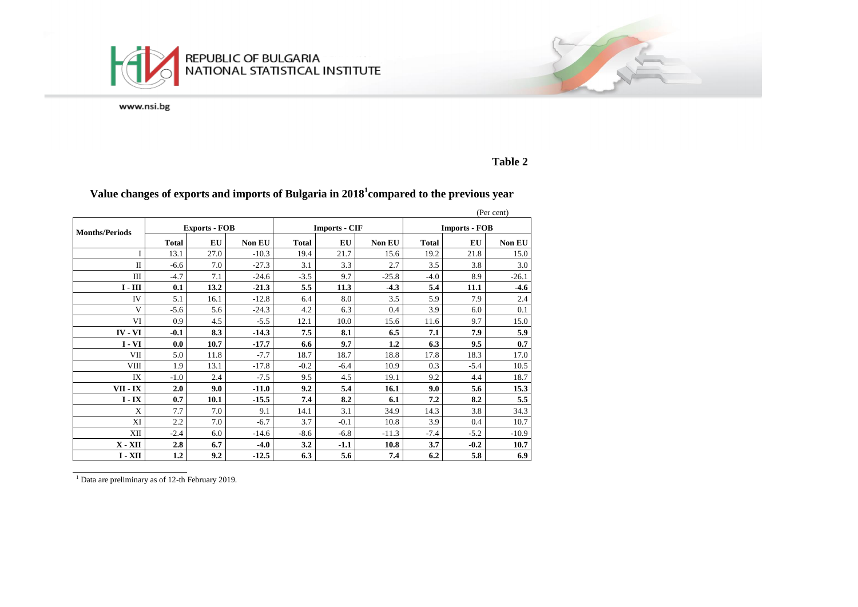



**Table 2**

|                       |              |                      |         |              |                      |         |                      |        | (Per cent) |  |
|-----------------------|--------------|----------------------|---------|--------------|----------------------|---------|----------------------|--------|------------|--|
| <b>Months/Periods</b> |              | <b>Exports - FOB</b> |         |              | <b>Imports - CIF</b> |         | <b>Imports - FOB</b> |        |            |  |
|                       | <b>Total</b> | EU                   | Non EU  | <b>Total</b> | EU                   | Non EU  | <b>Total</b>         | EU     | Non EU     |  |
|                       | 13.1         | 27.0                 | $-10.3$ | 19.4         | 21.7                 | 15.6    | 19.2                 | 21.8   | 15.0       |  |
| $\Pi$                 | $-6.6$       | 7.0                  | $-27.3$ | 3.1          | 3.3                  | 2.7     | 3.5                  | 3.8    | 3.0        |  |
| Ш                     | $-4.7$       | 7.1                  | $-24.6$ | $-3.5$       | 9.7                  | $-25.8$ | $-4.0$               | 8.9    | $-26.1$    |  |
| $I - III$             | 0.1          | 13.2                 | $-21.3$ | 5.5          | 11.3                 | $-4.3$  | 5.4                  | 11.1   | $-4.6$     |  |
| IV                    | 5.1          | 16.1                 | $-12.8$ | 6.4          | 8.0                  | 3.5     | 5.9                  | 7.9    | 2.4        |  |
| $\mathbf{V}$          | $-5.6$       | 5.6                  | $-24.3$ | 4.2          | 6.3                  | 0.4     | 3.9                  | 6.0    | 0.1        |  |
| VI                    | 0.9          | 4.5                  | $-5.5$  | 12.1         | 10.0                 | 15.6    | 11.6                 | 9.7    | 15.0       |  |
| $IV - VI$             | $-0.1$       | 8.3                  | $-14.3$ | 7.5          | 8.1                  | 6.5     | 7.1                  | 7.9    | 5.9        |  |
| $I - VI$              | 0.0          | 10.7                 | $-17.7$ | 6.6          | 9.7                  | 1.2     | 6.3                  | 9.5    | 0.7        |  |
| VII                   | 5.0          | 11.8                 | $-7.7$  | 18.7         | 18.7                 | 18.8    | 17.8                 | 18.3   | 17.0       |  |
| <b>VIII</b>           | 1.9          | 13.1                 | $-17.8$ | $-0.2$       | $-6.4$               | 10.9    | 0.3                  | $-5.4$ | 10.5       |  |
| IX                    | $-1.0$       | 2.4                  | $-7.5$  | 9.5          | 4.5                  | 19.1    | 9.2                  | 4.4    | 18.7       |  |
| VII - IX              | 2.0          | 9.0                  | $-11.0$ | 9.2          | 5.4                  | 16.1    | 9.0                  | 5.6    | 15.3       |  |
| $I - IX$              | 0.7          | 10.1                 | $-15.5$ | 7.4          | 8.2                  | 6.1     | 7.2                  | 8.2    | 5.5        |  |
| $\mathbf{x}$          | 7.7          | 7.0                  | 9.1     | 14.1         | 3.1                  | 34.9    | 14.3                 | 3.8    | 34.3       |  |
| XI                    | 2.2          | 7.0                  | $-6.7$  | 3.7          | $-0.1$               | 10.8    | 3.9                  | 0.4    | 10.7       |  |
| XII                   | $-2.4$       | 6.0                  | $-14.6$ | $-8.6$       | $-6.8$               | $-11.3$ | $-7.4$               | $-5.2$ | $-10.9$    |  |
| $X - XII$             | 2.8          | 6.7                  | $-4.0$  | 3.2          | $-1.1$               | 10.8    | 3.7                  | $-0.2$ | 10.7       |  |
| $I - XII$             | 1.2          | 9.2                  | $-12.5$ | 6.3          | 5.6                  | 7.4     | 6.2                  | 5.8    | 6.9        |  |

## **Value changes of exports and imports of Bulgaria in 2018<sup>1</sup> compared to the previous year**

<sup>1</sup> Data are preliminary as of 12-th February 2019.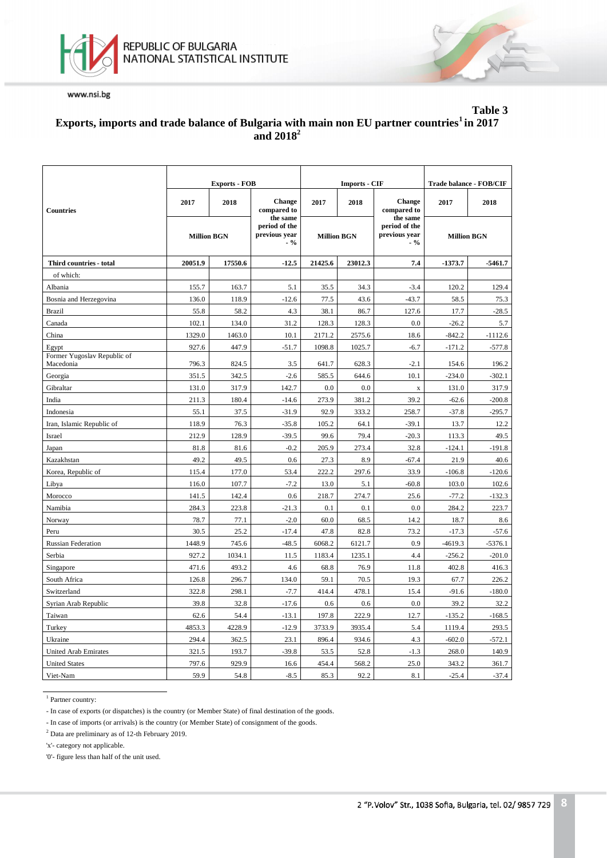



### **Table 3 Еxports, imports and trade balance of Bulgaria with main non EU partner countries<sup>1</sup>in 2017 and 2018<sup>2</sup>**

|                                          |                    | <b>Exports - FOB</b> |                                                    |                    | <b>Imports - CIF</b> | Trade balance - FOB/CIF                             |                    |           |
|------------------------------------------|--------------------|----------------------|----------------------------------------------------|--------------------|----------------------|-----------------------------------------------------|--------------------|-----------|
| <b>Countries</b>                         | 2017               | 2018                 | <b>Change</b><br>compared to                       | 2017               | 2018                 | <b>Change</b><br>compared to                        | 2017               | 2018      |
|                                          | <b>Million BGN</b> |                      | the same<br>period of the<br>previous year<br>.9/6 | <b>Million BGN</b> |                      | the same<br>period of the<br>previous year<br>$-$ % | <b>Million BGN</b> |           |
| Third countries - total                  | 20051.9            | 17550.6              | $-12.5$                                            | 21425.6            | 23012.3              | 7.4                                                 | $-1373.7$          | $-5461.7$ |
| of which:                                |                    |                      |                                                    |                    |                      |                                                     |                    |           |
| Albania                                  | 155.7              | 163.7                | 5.1                                                | 35.5               | 34.3                 | $-3.4$                                              | 120.2              | 129.4     |
| Bosnia and Herzegovina                   | 136.0              | 118.9                | $-12.6$                                            | 77.5               | 43.6                 | $-43.7$                                             | 58.5               | 75.3      |
| Brazil                                   | 55.8               | 58.2                 | 4.3                                                | 38.1               | 86.7                 | 127.6                                               | 17.7               | $-28.5$   |
| Canada                                   | 102.1              | 134.0                | 31.2                                               | 128.3              | 128.3                | 0.0                                                 | $-26.2$            | 5.7       |
| China                                    | 1329.0             | 1463.0               | 10.1                                               | 2171.2             | 2575.6               | 18.6                                                | $-842.2$           | $-1112.6$ |
| Egypt                                    | 927.6              | 447.9                | $-51.7$                                            | 1098.8             | 1025.7               | $-6.7$                                              | $-171.2$           | $-577.8$  |
| Former Yugoslav Republic of<br>Macedonia | 796.3              | 824.5                | 3.5                                                | 641.7              | 628.3                | $-2.1$                                              | 154.6              | 196.2     |
| Georgia                                  | 351.5              | 342.5                | $-2.6$                                             | 585.5              | 644.6                | 10.1                                                | $-234.0$           | $-302.1$  |
| Gibraltar                                | 131.0              | 317.9                | 142.7                                              | 0.0                | 0.0                  | $\bf{X}$                                            | 131.0              | 317.9     |
| India                                    | 211.3              | 180.4                | $-14.6$                                            | 273.9              | 381.2                | 39.2                                                | $-62.6$            | $-200.8$  |
| Indonesia                                | 55.1               | 37.5                 | $-31.9$                                            | 92.9               | 333.2                | 258.7                                               | $-37.8$            | $-295.7$  |
| Iran, Islamic Republic of                | 118.9              | 76.3                 | $-35.8$                                            | 105.2              | 64.1                 | $-39.1$                                             | 13.7               | 12.2      |
| Israel                                   | 212.9              | 128.9                | $-39.5$                                            | 99.6               | 79.4                 | $-20.3$                                             | 113.3              | 49.5      |
| Japan                                    | 81.8               | 81.6                 | $-0.2$                                             | 205.9              | 273.4                | 32.8                                                | $-124.1$           | $-191.8$  |
| Kazakhstan                               | 49.2               | 49.5                 | 0.6                                                | 27.3               | 8.9                  | $-67.4$                                             | 21.9               | 40.6      |
| Korea, Republic of                       | 115.4              | 177.0                | 53.4                                               | 222.2              | 297.6                | 33.9                                                | $-106.8$           | $-120.6$  |
| Libya                                    | 116.0              | 107.7                | $-7.2$                                             | 13.0               | 5.1                  | $-60.8$                                             | 103.0              | 102.6     |
| Morocco                                  | 141.5              | 142.4                | 0.6                                                | 218.7              | 274.7                | 25.6                                                | $-77.2$            | $-132.3$  |
| Namibia                                  | 284.3              | 223.8                | $-21.3$                                            | 0.1                | 0.1                  | 0.0                                                 | 284.2              | 223.7     |
| Norway                                   | 78.7               | 77.1                 | $-2.0$                                             | 60.0               | 68.5                 | 14.2                                                | 18.7               | 8.6       |
| Peru                                     | 30.5               | 25.2                 | $-17.4$                                            | 47.8               | 82.8                 | 73.2                                                | $-17.3$            | $-57.6$   |
| <b>Russian Federation</b>                | 1448.9             | 745.6                | $-48.5$                                            | 6068.2             | 6121.7               | 0.9                                                 | $-4619.3$          | $-5376.1$ |
| Serbia                                   | 927.2              | 1034.1               | 11.5                                               | 1183.4             | 1235.1               | 4.4                                                 | $-256.2$           | $-201.0$  |
| Singapore                                | 471.6              | 493.2                | 4.6                                                | 68.8               | 76.9                 | 11.8                                                | 402.8              | 416.3     |
| South Africa                             | 126.8              | 296.7                | 134.0                                              | 59.1               | 70.5                 | 19.3                                                | 67.7               | 226.2     |
| Switzerland                              | 322.8              | 298.1                | $-7.7$                                             | 414.4              | 478.1                | 15.4                                                | $-91.6$            | $-180.0$  |
| Syrian Arab Republic                     | 39.8               | 32.8                 | $-17.6$                                            | 0.6                | 0.6                  | 0.0                                                 | 39.2               | 32.2      |
| Taiwan                                   | 62.6               | 54.4                 | $-13.1$                                            | 197.8              | 222.9                | 12.7                                                | $-135.2$           | $-168.5$  |
| Turkey                                   | 4853.3             | 4228.9               | $-12.9$                                            | 3733.9             | 3935.4               | 5.4                                                 | 1119.4             | 293.5     |
| Ukraine                                  | 294.4              | 362.5                | 23.1                                               | 896.4              | 934.6                | 4.3                                                 | $-602.0$           | $-572.1$  |
| <b>United Arab Emirates</b>              | 321.5              | 193.7                | $-39.8$                                            | 53.5               | 52.8                 | $-1.3$                                              | 268.0              | 140.9     |
| <b>United States</b>                     | 797.6              | 929.9                | 16.6                                               | 454.4              | 568.2                | 25.0                                                | 343.2              | 361.7     |
| Viet-Nam                                 | 59.9               | 54.8                 | $-8.5$                                             | 85.3               | 92.2                 | 8.1                                                 | $-25.4$            | $-37.4$   |

<sup>1</sup> Partner country:

- In case of exports (or dispatches) is the country (or Member State) of final destination of the goods.

- In case of imports (or arrivals) is the country (or Member State) of consignment of the goods.

<sup>2</sup> Data are preliminary as of 12-th February 2019.

'x'- category not applicable.

'0'- figure less than half of the unit used.